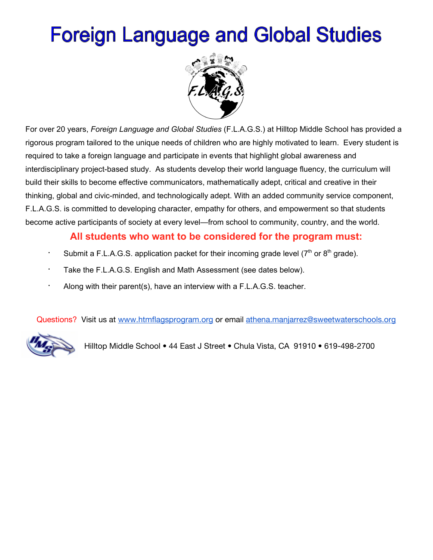# **Foreign Language and Global Studies**



For over 20 years, *Foreign Language and Global Studies* (F.L.A.G.S.) at Hilltop Middle School has provided a rigorous program tailored to the unique needs of children who are highly motivated to learn. Every student is required to take a foreign language and participate in events that highlight global awareness and interdisciplinary project-based study. As students develop their world language fluency, the curriculum will build their skills to become effective communicators, mathematically adept, critical and creative in their thinking, global and civic-minded, and technologically adept. With an added community service component, F.L.A.G.S. is committed to developing character, empathy for others, and empowerment so that students become active participants of society at every level—from school to community, country, and the world.

#### **All students who want to be considered for the program must:**

- ∙ Submit a F.L.A.G.S. application packet for their incoming grade level (7<sup>th</sup> or 8<sup>th</sup> grade).
- ∙ Take the F.L.A.G.S. English and Math Assessment (see dates below).
- ∙ Along with their parent(s), have an interview with a F.L.A.G.S. teacher.

Questions? Visit us at [www.htmflagsprogram.org](http://www.htmflagsprogram.org/) or email [athena.manjarrez@sweetwaterschools.org](mailto:athena.manjarrez@sweetwaterschools.org)



Hilltop Middle School • 44 East J Street • Chula Vista, CA 91910 • 619-498-2700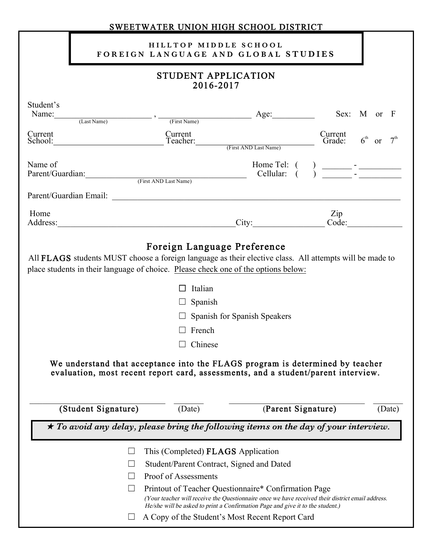| SWEETWATER UNION HIGH SCHOOL DISTRICT                                                                                                                                                                                                                                                                                                                                                                                                                                                |                                                                                                                                                                                                                                |                                           |                                                                                                      |                                                                                                                                                                                                                                                                                                           |                             |  |
|--------------------------------------------------------------------------------------------------------------------------------------------------------------------------------------------------------------------------------------------------------------------------------------------------------------------------------------------------------------------------------------------------------------------------------------------------------------------------------------|--------------------------------------------------------------------------------------------------------------------------------------------------------------------------------------------------------------------------------|-------------------------------------------|------------------------------------------------------------------------------------------------------|-----------------------------------------------------------------------------------------------------------------------------------------------------------------------------------------------------------------------------------------------------------------------------------------------------------|-----------------------------|--|
|                                                                                                                                                                                                                                                                                                                                                                                                                                                                                      |                                                                                                                                                                                                                                | HILLTOP MIDDLE SCHOOL                     | FOREIGN LANGUAGE AND GLOBAL STUDIES                                                                  |                                                                                                                                                                                                                                                                                                           |                             |  |
| <b>STUDENT APPLICATION</b><br>2016-2017                                                                                                                                                                                                                                                                                                                                                                                                                                              |                                                                                                                                                                                                                                |                                           |                                                                                                      |                                                                                                                                                                                                                                                                                                           |                             |  |
| Student's                                                                                                                                                                                                                                                                                                                                                                                                                                                                            |                                                                                                                                                                                                                                |                                           | Name: $\frac{1}{(Last Name)}$ , $\frac{1}{(First Name)}$ , $\frac{1}{(First Name)}$ Age: Sex: M or F |                                                                                                                                                                                                                                                                                                           |                             |  |
| Current                                                                                                                                                                                                                                                                                                                                                                                                                                                                              | School:                                                                                                                                                                                                                        | Current<br>Teacher: (First AND Last Name) |                                                                                                      | Current<br>Current<br>Grade:                                                                                                                                                                                                                                                                              | $6th$ or<br>7 <sup>th</sup> |  |
| Name of                                                                                                                                                                                                                                                                                                                                                                                                                                                                              | Parent/Guardian: (First AND Last Name)                                                                                                                                                                                         |                                           | Home Tel: (<br>Cellular: $\dot{()}$                                                                  | $\frac{1}{1}$ - $\frac{1}{1}$ - $\frac{1}{1}$ - $\frac{1}{1}$ - $\frac{1}{1}$ - $\frac{1}{1}$ - $\frac{1}{1}$ - $\frac{1}{1}$ - $\frac{1}{1}$ - $\frac{1}{1}$ - $\frac{1}{1}$ - $\frac{1}{1}$ - $\frac{1}{1}$ - $\frac{1}{1}$ - $\frac{1}{1}$ - $\frac{1}{1}$ - $\frac{1}{1}$ - $\frac{1}{1}$ - $\frac{1$ |                             |  |
|                                                                                                                                                                                                                                                                                                                                                                                                                                                                                      |                                                                                                                                                                                                                                |                                           |                                                                                                      |                                                                                                                                                                                                                                                                                                           |                             |  |
| Home                                                                                                                                                                                                                                                                                                                                                                                                                                                                                 | Address: No. 1996. The Second State of the Second State of the Second State of the Second State of the Second State of the Second State of the Second State of the Second State of the Second State of the Second State of the |                                           | City: Code:                                                                                          | Zip                                                                                                                                                                                                                                                                                                       |                             |  |
| Foreign Language Preference<br>All FLAGS students MUST choose a foreign language as their elective class. All attempts will be made to<br>place students in their language of choice. Please check one of the options below:<br>Italian<br>Spanish<br>Spanish for Spanish Speakers<br>$\Box$ French<br>Chinese<br>We understand that acceptance into the FLAGS program is determined by teacher<br>evaluation, most recent report card, assessments, and a student/parent interview. |                                                                                                                                                                                                                                |                                           |                                                                                                      |                                                                                                                                                                                                                                                                                                           |                             |  |
|                                                                                                                                                                                                                                                                                                                                                                                                                                                                                      | (Student Signature)                                                                                                                                                                                                            | (Date)                                    | (Parent Signature)                                                                                   |                                                                                                                                                                                                                                                                                                           | (Date)                      |  |
| $\star$ To avoid any delay, please bring the following items on the day of your interview.                                                                                                                                                                                                                                                                                                                                                                                           |                                                                                                                                                                                                                                |                                           |                                                                                                      |                                                                                                                                                                                                                                                                                                           |                             |  |
| This (Completed) <b>FLAGS</b> Application<br>Student/Parent Contract, Signed and Dated                                                                                                                                                                                                                                                                                                                                                                                               |                                                                                                                                                                                                                                |                                           |                                                                                                      |                                                                                                                                                                                                                                                                                                           |                             |  |
|                                                                                                                                                                                                                                                                                                                                                                                                                                                                                      |                                                                                                                                                                                                                                | Proof of Assessments                      |                                                                                                      |                                                                                                                                                                                                                                                                                                           |                             |  |
| Printout of Teacher Questionnaire* Confirmation Page                                                                                                                                                                                                                                                                                                                                                                                                                                 |                                                                                                                                                                                                                                |                                           |                                                                                                      |                                                                                                                                                                                                                                                                                                           |                             |  |
|                                                                                                                                                                                                                                                                                                                                                                                                                                                                                      | (Your teacher will receive the Questionnaire once we have received their district email address.<br>He/she will be asked to print a Confirmation Page and give it to the student.)                                             |                                           |                                                                                                      |                                                                                                                                                                                                                                                                                                           |                             |  |
|                                                                                                                                                                                                                                                                                                                                                                                                                                                                                      |                                                                                                                                                                                                                                |                                           | A Copy of the Student's Most Recent Report Card                                                      |                                                                                                                                                                                                                                                                                                           |                             |  |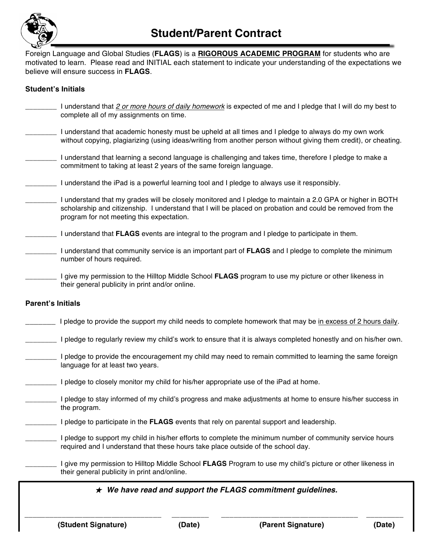

Foreign Language and Global Studies (**FLAGS**) is a **RIGOROUS ACADEMIC PROGRAM** for students who are motivated to learn. Please read and INITIAL each statement to indicate your understanding of the expectations we believe will ensure success in **FLAGS**.

#### **Student's Initials**

- \_\_\_\_\_\_\_\_ I understand that *2 or more hours of daily homework* is expected of me and I pledge that I will do my best to complete all of my assignments on time.
- \_\_\_\_\_\_\_\_ I understand that academic honesty must be upheld at all times and I pledge to always do my own work without copying, plagiarizing (using ideas/writing from another person without giving them credit), or cheating.
- \_\_\_\_\_\_\_\_ I understand that learning a second language is challenging and takes time, therefore I pledge to make a commitment to taking at least 2 years of the same foreign language.
- \_\_\_\_\_\_\_\_ I understand the iPad is a powerful learning tool and I pledge to always use it responsibly.
- \_\_\_\_\_\_\_\_ I understand that my grades will be closely monitored and I pledge to maintain a 2.0 GPA or higher in BOTH scholarship and citizenship. I understand that I will be placed on probation and could be removed from the program for not meeting this expectation.
- \_\_\_\_\_\_\_\_ I understand that **FLAGS** events are integral to the program and I pledge to participate in them.
- \_\_\_\_\_\_\_\_ I understand that community service is an important part of **FLAGS** and I pledge to complete the minimum number of hours required.
- \_\_\_\_\_\_\_\_ I give my permission to the Hilltop Middle School **FLAGS** program to use my picture or other likeness in their general publicity in print and/or online.

#### **Parent's Initials**

- I pledge to provide the support my child needs to complete homework that may be in excess of 2 hours daily.
- I pledge to regularly review my child's work to ensure that it is always completed honestly and on his/her own.
- \_\_\_\_\_\_\_\_ I pledge to provide the encouragement my child may need to remain committed to learning the same foreign language for at least two years.
	- I pledge to closely monitor my child for his/her appropriate use of the iPad at home.
- I pledge to stay informed of my child's progress and make adjustments at home to ensure his/her success in the program.
- \_\_\_\_\_\_\_\_ I pledge to participate in the **FLAGS** events that rely on parental support and leadership.
	- \_\_\_\_\_\_\_\_ I pledge to support my child in his/her efforts to complete the minimum number of community service hours required and I understand that these hours take place outside of the school day.

\_\_\_\_\_\_\_\_ I give my permission to Hilltop Middle School **FLAGS** Program to use my child's picture or other likeness in their general publicity in print and/online.

#### ★ *We have read and support the FLAGS commitment guidelines.*

**\_\_\_\_\_\_\_\_\_\_\_\_\_\_\_\_\_\_\_\_\_\_\_\_\_\_\_\_\_\_\_\_\_ \_\_\_\_\_\_\_\_\_ \_\_\_\_\_\_\_\_\_\_\_\_\_\_\_\_\_\_\_\_\_\_\_\_\_\_\_\_\_\_\_\_\_ \_\_\_\_\_\_\_\_\_**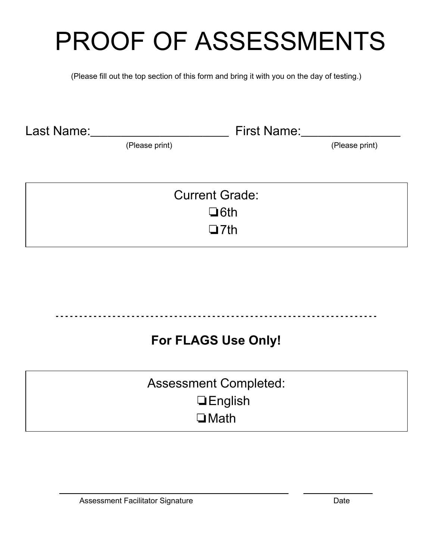# PROOF OF ASSESSMENTS

(Please fill out the top section of this form and bring it with you on the day of testing.)

Last Name:**\_\_\_\_\_\_\_\_\_\_\_\_\_\_\_\_\_\_\_\_\_\_\_\_\_\_\_\_\_\_\_\_**First Name:**\_\_\_\_\_\_\_\_\_\_\_\_\_\_\_\_\_\_\_\_\_\_\_**

(Please print) (Please print)

| <b>Current Grade:</b> |  |
|-----------------------|--|
| $\Box$ 6th            |  |
| $\Box$ 7th            |  |

### **For FLAGS Use Only!**

Assessment Completed: ❏English ❏Math

\_\_\_\_\_\_\_\_\_\_\_\_\_\_\_\_\_\_\_\_\_\_\_\_\_\_\_\_\_\_\_\_\_\_\_\_\_\_\_\_\_\_\_\_\_\_\_\_\_\_\_\_\_ \_\_\_\_\_\_\_\_\_\_\_\_\_\_\_\_